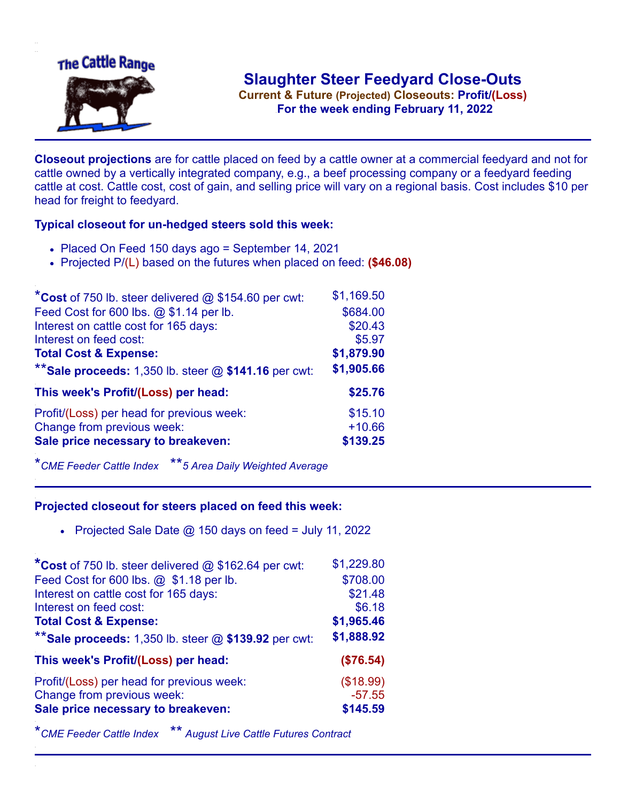

.**For the week ending February 11, 2022**

**Closeout projections** are for cattle placed on feed by a cattle owner at a commercial feedyard and not for cattle owned by a vertically integrated company, e.g., a beef processing company or a feedyard feeding cattle at cost. Cattle cost, cost of gain, and selling price will vary on a regional basis. Cost includes \$10 per head for freight to feedyard.

## **Typical closeout for un-hedged steers sold this week:**

- Placed On Feed 150 days ago = September 14, 2021
- Projected P/(L) based on the futures when placed on feed: **(\$46.08)**

| *Cost of 750 lb. steer delivered $@$ \$154.60 per cwt:    | \$1,169.50 |
|-----------------------------------------------------------|------------|
| Feed Cost for 600 lbs. @ \$1.14 per lb.                   | \$684.00   |
| Interest on cattle cost for 165 days:                     | \$20.43    |
| Interest on feed cost:                                    | \$5.97     |
| <b>Total Cost &amp; Expense:</b>                          | \$1,879.90 |
| ** Sale proceeds: $1,350$ lb. steer $@$ \$141.16 per cwt: | \$1,905.66 |
| This week's Profit/(Loss) per head:                       | \$25.76    |
| Profit/(Loss) per head for previous week:                 | \$15.10    |
| Change from previous week:                                | $+10.66$   |
| Sale price necessary to breakeven:                        | \$139.25   |

\**CME Feeder Cattle Index* \*\**5 Area Daily Weighted Average*

## **Projected closeout for steers placed on feed this week:**

• Projected Sale Date  $@$  150 days on feed = July 11, 2022

| *Cost of 750 lb. steer delivered @ \$162.64 per cwt:      | \$1,229.80 |
|-----------------------------------------------------------|------------|
| Feed Cost for 600 lbs. @ \$1.18 per lb.                   | \$708.00   |
| Interest on cattle cost for 165 days:                     | \$21.48    |
| Interest on feed cost:                                    | \$6.18     |
| <b>Total Cost &amp; Expense:</b>                          | \$1,965.46 |
| ** Sale proceeds: $1,350$ lb. steer $@$ \$139.92 per cwt: | \$1,888.92 |
| This week's Profit/(Loss) per head:                       | (\$76.54)  |
| Profit/(Loss) per head for previous week:                 | (\$18.99)  |
| Change from previous week:                                | $-57.55$   |
| Sale price necessary to breakeven:                        | \$145.59   |

\**CME Feeder Cattle Index* \*\* *August Live Cattle Futures Contract*